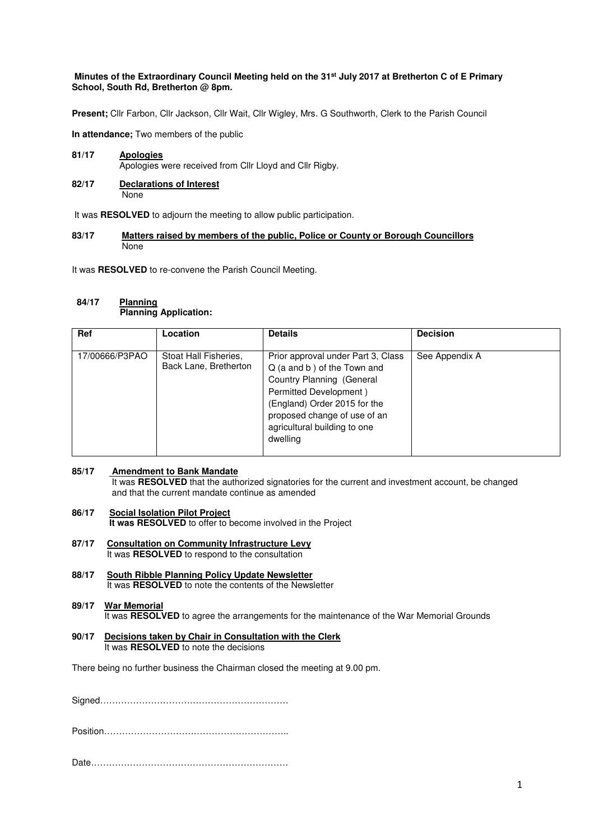### **Minutes of the Extraordinary Council Meeting held on the 31st July 2017 at Bretherton C of E Primary School, South Rd, Bretherton @ 8pm.**

**Present;** Cllr Farbon, Cllr Jackson, Cllr Wait, Cllr Wigley, Mrs. G Southworth, Clerk to the Parish Council

**In attendance;** Two members of the public

### **81/17 Apologies** Apologies were received from Cllr Lloyd and Cllr Rigby.

#### **82/17 Declarations of Interest** None

It was **RESOLVED** to adjourn the meeting to allow public participation.

### **83/17 Matters raised by members of the public, Police or County or Borough Councillors**  None

It was **RESOLVED** to re-convene the Parish Council Meeting.

### **84/17 Planning Planning Application:**

| Ref            | Location                                       | <b>Details</b>                                                                                                                                                                                                                       | <b>Decision</b> |
|----------------|------------------------------------------------|--------------------------------------------------------------------------------------------------------------------------------------------------------------------------------------------------------------------------------------|-----------------|
| 17/00666/P3PAO | Stoat Hall Fisheries,<br>Back Lane, Bretherton | Prior approval under Part 3, Class<br>Q (a and b) of the Town and<br>Country Planning (General<br>Permitted Development)<br>(England) Order 2015 for the<br>proposed change of use of an<br>agricultural building to one<br>dwelling | See Appendix A  |

# **85/17 Amendment to Bank Mandate**

It was **RESOLVED** that the authorized signatories for the current and investment account, be changed and that the current mandate continue as amended

## **86/17 Social Isolation Pilot Project**

**It was RESOLVED** to offer to become involved in the Project

- **87/17 Consultation on Community Infrastructure Levy**  It was **RESOLVED** to respond to the consultation
- **88/17 South Ribble Planning Policy Update Newsletter** It was **RESOLVED** to note the contents of the Newsletter

#### **89/17 War Memorial** It was **RESOLVED** to agree the arrangements for the maintenance of the War Memorial Grounds

**90/17 Decisions taken by Chair in Consultation with the Clerk** It was **RESOLVED** to note the decisions

There being no further business the Chairman closed the meeting at 9.00 pm.

Signed………………………………………………………

Position……………………………………………………..

Date…………………………………………………………